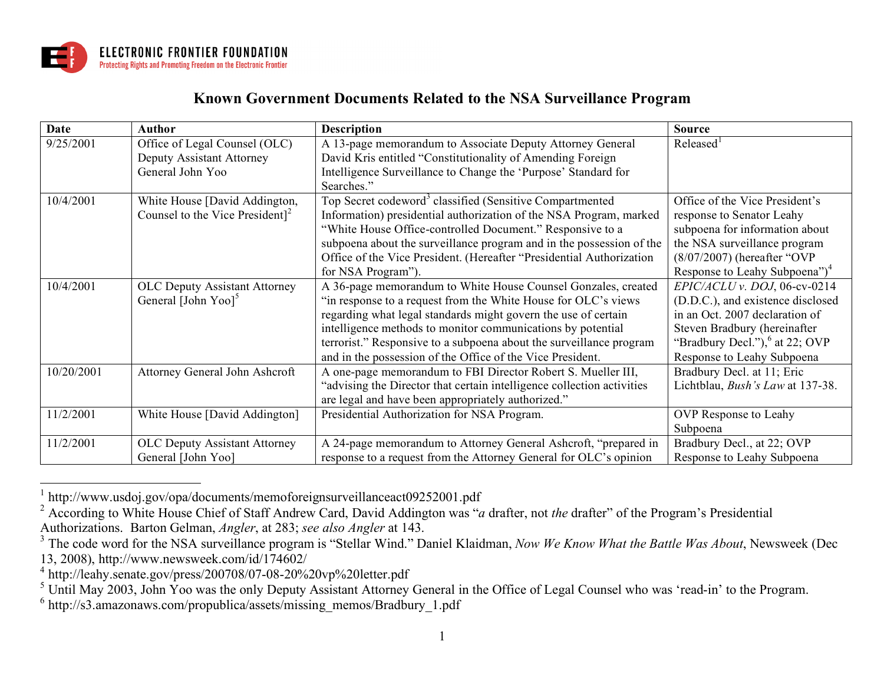

## **Known Government Documents Related to the NSA Surveillance Program**

| Date       | Author                                      | <b>Description</b>                                                     | <b>Source</b>                             |
|------------|---------------------------------------------|------------------------------------------------------------------------|-------------------------------------------|
| 9/25/2001  | Office of Legal Counsel (OLC)               | A 13-page memorandum to Associate Deputy Attorney General              | Released <sup>1</sup>                     |
|            | Deputy Assistant Attorney                   | David Kris entitled "Constitutionality of Amending Foreign             |                                           |
|            | General John Yoo                            | Intelligence Surveillance to Change the 'Purpose' Standard for         |                                           |
|            |                                             | Searches."                                                             |                                           |
| 10/4/2001  | White House [David Addington,               | Top Secret codeword <sup>3</sup> classified (Sensitive Compartmented   | Office of the Vice President's            |
|            | Counsel to the Vice President] <sup>2</sup> | Information) presidential authorization of the NSA Program, marked     | response to Senator Leahy                 |
|            |                                             | "White House Office-controlled Document." Responsive to a              | subpoena for information about            |
|            |                                             | subpoena about the surveillance program and in the possession of the   | the NSA surveillance program              |
|            |                                             | Office of the Vice President. (Hereafter "Presidential Authorization   | $(8/07/2007)$ (hereafter "OVP             |
|            |                                             | for NSA Program").                                                     | Response to Leahy Subpoena") <sup>4</sup> |
| 10/4/2001  | <b>OLC Deputy Assistant Attorney</b>        | A 36-page memorandum to White House Counsel Gonzales, created          | EPIC/ACLU v. DOJ, 06-cv-0214              |
|            | General [John Yoo] <sup>5</sup>             | "in response to a request from the White House for OLC's views         | (D.D.C.), and existence disclosed         |
|            |                                             | regarding what legal standards might govern the use of certain         | in an Oct. 2007 declaration of            |
|            |                                             | intelligence methods to monitor communications by potential            | Steven Bradbury (hereinafter              |
|            |                                             | terrorist." Responsive to a subpoena about the surveillance program    | "Bradbury Decl."), $^{6}$ at 22; OVP      |
|            |                                             | and in the possession of the Office of the Vice President.             | Response to Leahy Subpoena                |
| 10/20/2001 | Attorney General John Ashcroft              | A one-page memorandum to FBI Director Robert S. Mueller III,           | Bradbury Decl. at 11; Eric                |
|            |                                             | "advising the Director that certain intelligence collection activities | Lichtblau, <i>Bush's Law</i> at 137-38.   |
|            |                                             | are legal and have been appropriately authorized."                     |                                           |
| 11/2/2001  | White House [David Addington]               | Presidential Authorization for NSA Program.                            | <b>OVP</b> Response to Leahy              |
|            |                                             |                                                                        | Subpoena                                  |
| 11/2/2001  | <b>OLC Deputy Assistant Attorney</b>        | A 24-page memorandum to Attorney General Ashcroft, "prepared in        | Bradbury Decl., at 22; OVP                |
|            | General [John Yoo]                          | response to a request from the Attorney General for OLC's opinion      | Response to Leahy Subpoena                |

 <sup>1</sup> http://www.usdoj.gov/opa/documents/memoforeignsurveillanceact09252001.pdf

<sup>2</sup> According to White House Chief of Staff Andrew Card, David Addington was "*a* drafter, not *the* drafter" of the Program's Presidential Authorizations. Barton Gelman, *Angler*, at 283; *see also Angler* at 143.

<sup>3</sup> The code word for the NSA surveillance program is "Stellar Wind." Daniel Klaidman, *Now We Know What the Battle Was About*, Newsweek (Dec 13, 2008), http://www.newsweek.com/id/174602/

<sup>4</sup> http://leahy.senate.gov/press/200708/07-08-20%20vp%20letter.pdf

 $<sup>5</sup>$  Until May 2003, John Yoo was the only Deputy Assistant Attorney General in the Office of Legal Counsel who was 'read-in' to the Program.</sup>

 $6$  http://s3.amazonaws.com/propublica/assets/missing\_memos/Bradbury\_1.pdf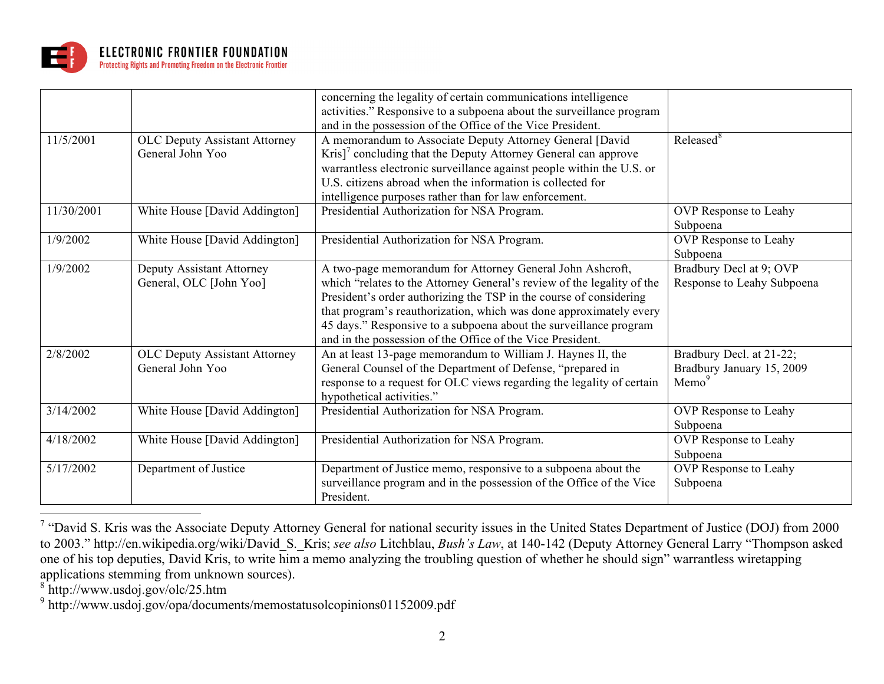

|            |                                                          | concerning the legality of certain communications intelligence<br>activities." Responsive to a subpoena about the surveillance program<br>and in the possession of the Office of the Vice President.                                                                                                                                                                                                               |                                                                            |
|------------|----------------------------------------------------------|--------------------------------------------------------------------------------------------------------------------------------------------------------------------------------------------------------------------------------------------------------------------------------------------------------------------------------------------------------------------------------------------------------------------|----------------------------------------------------------------------------|
| 11/5/2001  | <b>OLC Deputy Assistant Attorney</b><br>General John Yoo | A memorandum to Associate Deputy Attorney General [David<br>$Kris$ <sup><math>\prime</math></sup> concluding that the Deputy Attorney General can approve<br>warrantless electronic surveillance against people within the U.S. or<br>U.S. citizens abroad when the information is collected for<br>intelligence purposes rather than for law enforcement.                                                         | Released <sup>8</sup>                                                      |
| 11/30/2001 | White House [David Addington]                            | Presidential Authorization for NSA Program.                                                                                                                                                                                                                                                                                                                                                                        | OVP Response to Leahy<br>Subpoena                                          |
| 1/9/2002   | White House [David Addington]                            | Presidential Authorization for NSA Program.                                                                                                                                                                                                                                                                                                                                                                        | OVP Response to Leahy<br>Subpoena                                          |
| 1/9/2002   | Deputy Assistant Attorney<br>General, OLC [John Yoo]     | A two-page memorandum for Attorney General John Ashcroft,<br>which "relates to the Attorney General's review of the legality of the<br>President's order authorizing the TSP in the course of considering<br>that program's reauthorization, which was done approximately every<br>45 days." Responsive to a subpoena about the surveillance program<br>and in the possession of the Office of the Vice President. | Bradbury Decl at 9; OVP<br>Response to Leahy Subpoena                      |
| 2/8/2002   | <b>OLC Deputy Assistant Attorney</b><br>General John Yoo | An at least 13-page memorandum to William J. Haynes II, the<br>General Counsel of the Department of Defense, "prepared in<br>response to a request for OLC views regarding the legality of certain<br>hypothetical activities."                                                                                                                                                                                    | Bradbury Decl. at 21-22;<br>Bradbury January 15, 2009<br>Memo <sup>9</sup> |
| 3/14/2002  | White House [David Addington]                            | Presidential Authorization for NSA Program.                                                                                                                                                                                                                                                                                                                                                                        | OVP Response to Leahy<br>Subpoena                                          |
| 4/18/2002  | White House [David Addington]                            | Presidential Authorization for NSA Program.                                                                                                                                                                                                                                                                                                                                                                        | OVP Response to Leahy<br>Subpoena                                          |
| 5/17/2002  | Department of Justice                                    | Department of Justice memo, responsive to a subpoena about the<br>surveillance program and in the possession of the Office of the Vice<br>President.                                                                                                                                                                                                                                                               | OVP Response to Leahy<br>Subpoena                                          |

<sup>&</sup>lt;sup>7</sup> "David S. Kris was the Associate Deputy Attorney General for national security issues in the United States Department of Justice (DOJ) from 2000 to 2003." http://en.wikipedia.org/wiki/David\_S.\_Kris; *see also* Litchblau, *Bush's Law*, at 140-142 (Deputy Attorney General Larry "Thompson asked one of his top deputies, David Kris, to write him a memo analyzing the troubling question of whether he should sign" warrantless wiretapping applications stemming from unknown sources).

<sup>8</sup> http://www.usdoj.gov/olc/25.htm

<sup>9</sup> http://www.usdoj.gov/opa/documents/memostatusolcopinions01152009.pdf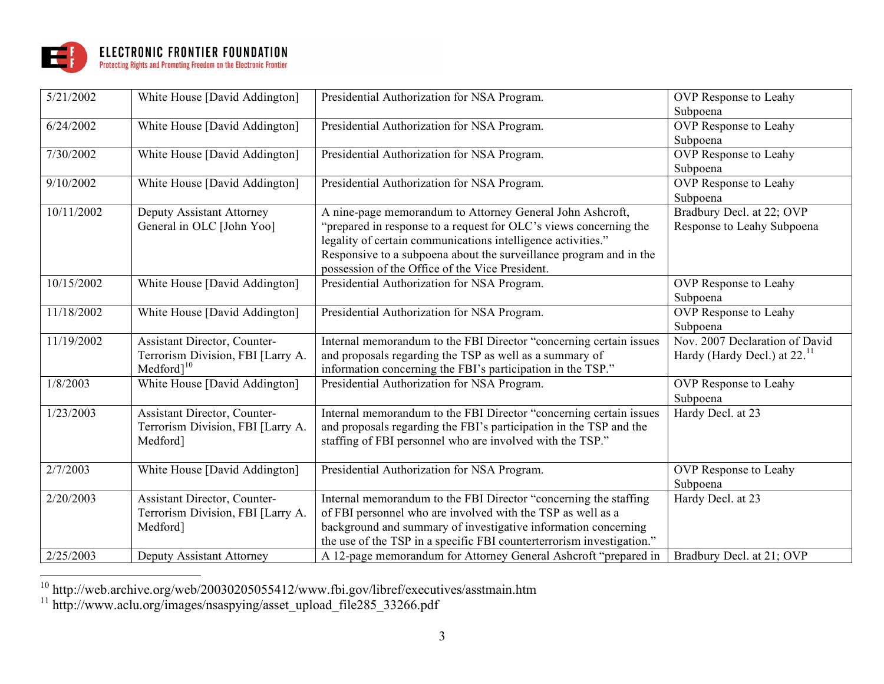

| 5/21/2002  | White House [David Addington]     | Presidential Authorization for NSA Program.                           | OVP Response to Leahy                    |
|------------|-----------------------------------|-----------------------------------------------------------------------|------------------------------------------|
|            |                                   |                                                                       | Subpoena                                 |
| 6/24/2002  | White House [David Addington]     | Presidential Authorization for NSA Program.                           | OVP Response to Leahy                    |
|            |                                   |                                                                       | Subpoena                                 |
| 7/30/2002  | White House [David Addington]     | Presidential Authorization for NSA Program.                           | OVP Response to Leahy                    |
|            |                                   |                                                                       | Subpoena                                 |
| 9/10/2002  | White House [David Addington]     | Presidential Authorization for NSA Program.                           | <b>OVP</b> Response to Leahy             |
|            |                                   |                                                                       | Subpoena                                 |
| 10/11/2002 | Deputy Assistant Attorney         | A nine-page memorandum to Attorney General John Ashcroft,             | Bradbury Decl. at 22; OVP                |
|            | General in OLC [John Yoo]         | "prepared in response to a request for OLC's views concerning the     | Response to Leahy Subpoena               |
|            |                                   | legality of certain communications intelligence activities."          |                                          |
|            |                                   | Responsive to a subpoena about the surveillance program and in the    |                                          |
|            |                                   | possession of the Office of the Vice President.                       |                                          |
| 10/15/2002 | White House [David Addington]     | Presidential Authorization for NSA Program.                           | <b>OVP</b> Response to Leahy             |
|            |                                   |                                                                       | Subpoena                                 |
| 11/18/2002 | White House [David Addington]     | Presidential Authorization for NSA Program.                           | <b>OVP</b> Response to Leahy             |
|            |                                   |                                                                       | Subpoena                                 |
| 11/19/2002 | Assistant Director, Counter-      | Internal memorandum to the FBI Director "concerning certain issues    | Nov. 2007 Declaration of David           |
|            | Terrorism Division, FBI [Larry A. | and proposals regarding the TSP as well as a summary of               | Hardy (Hardy Decl.) at 22. <sup>11</sup> |
|            | $Medford]$ <sup>10</sup>          | information concerning the FBI's participation in the TSP."           |                                          |
| 1/8/2003   | White House [David Addington]     | Presidential Authorization for NSA Program.                           | OVP Response to Leahy                    |
|            |                                   |                                                                       | Subpoena                                 |
| 1/23/2003  | Assistant Director, Counter-      | Internal memorandum to the FBI Director "concerning certain issues    | Hardy Decl. at 23                        |
|            | Terrorism Division, FBI [Larry A. | and proposals regarding the FBI's participation in the TSP and the    |                                          |
|            | Medford]                          | staffing of FBI personnel who are involved with the TSP."             |                                          |
|            |                                   |                                                                       |                                          |
| 2/7/2003   | White House [David Addington]     | Presidential Authorization for NSA Program.                           | OVP Response to Leahy                    |
|            |                                   |                                                                       | Subpoena                                 |
| 2/20/2003  | Assistant Director, Counter-      | Internal memorandum to the FBI Director "concerning the staffing      | Hardy Decl. at 23                        |
|            | Terrorism Division, FBI [Larry A. | of FBI personnel who are involved with the TSP as well as a           |                                          |
|            | Medford]                          | background and summary of investigative information concerning        |                                          |
|            |                                   | the use of the TSP in a specific FBI counterterrorism investigation." |                                          |
| 2/25/2003  | Deputy Assistant Attorney         | A 12-page memorandum for Attorney General Ashcroft "prepared in       | Bradbury Decl. at 21; OVP                |

<sup>10</sup> http://web.archive.org/web/20030205055412/www.fbi.gov/libref/executives/asstmain.htm

<sup>11</sup> http://www.aclu.org/images/nsaspying/asset\_upload\_file285\_33266.pdf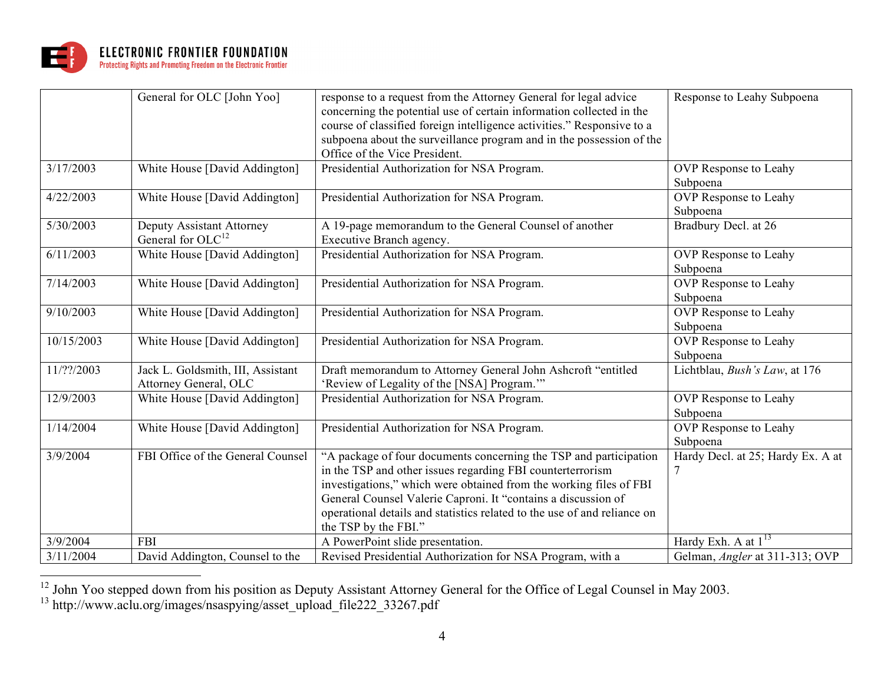

|            | General for OLC [John Yoo]                                 | response to a request from the Attorney General for legal advice<br>concerning the potential use of certain information collected in the<br>course of classified foreign intelligence activities." Responsive to a<br>subpoena about the surveillance program and in the possession of the<br>Office of the Vice President.                                                | Response to Leahy Subpoena               |
|------------|------------------------------------------------------------|----------------------------------------------------------------------------------------------------------------------------------------------------------------------------------------------------------------------------------------------------------------------------------------------------------------------------------------------------------------------------|------------------------------------------|
| 3/17/2003  | White House [David Addington]                              | Presidential Authorization for NSA Program.                                                                                                                                                                                                                                                                                                                                | OVP Response to Leahy<br>Subpoena        |
| 4/22/2003  | White House [David Addington]                              | Presidential Authorization for NSA Program.                                                                                                                                                                                                                                                                                                                                | OVP Response to Leahy<br>Subpoena        |
| 5/30/2003  | Deputy Assistant Attorney<br>General for $OLC12$           | A 19-page memorandum to the General Counsel of another<br>Executive Branch agency.                                                                                                                                                                                                                                                                                         | Bradbury Decl. at 26                     |
| 6/11/2003  | White House [David Addington]                              | Presidential Authorization for NSA Program.                                                                                                                                                                                                                                                                                                                                | OVP Response to Leahy<br>Subpoena        |
| 7/14/2003  | White House [David Addington]                              | Presidential Authorization for NSA Program.                                                                                                                                                                                                                                                                                                                                | OVP Response to Leahy<br>Subpoena        |
| 9/10/2003  | White House [David Addington]                              | Presidential Authorization for NSA Program.                                                                                                                                                                                                                                                                                                                                | OVP Response to Leahy<br>Subpoena        |
| 10/15/2003 | White House [David Addington]                              | Presidential Authorization for NSA Program.                                                                                                                                                                                                                                                                                                                                | OVP Response to Leahy<br>Subpoena        |
| 11/??/2003 | Jack L. Goldsmith, III, Assistant<br>Attorney General, OLC | Draft memorandum to Attorney General John Ashcroft "entitled<br>'Review of Legality of the [NSA] Program.""                                                                                                                                                                                                                                                                | Lichtblau, Bush's Law, at 176            |
| 12/9/2003  | White House [David Addington]                              | Presidential Authorization for NSA Program.                                                                                                                                                                                                                                                                                                                                | OVP Response to Leahy<br>Subpoena        |
| 1/14/2004  | White House [David Addington]                              | Presidential Authorization for NSA Program.                                                                                                                                                                                                                                                                                                                                | <b>OVP</b> Response to Leahy<br>Subpoena |
| 3/9/2004   | FBI Office of the General Counsel                          | "A package of four documents concerning the TSP and participation<br>in the TSP and other issues regarding FBI counterterrorism<br>investigations," which were obtained from the working files of FBI<br>General Counsel Valerie Caproni. It "contains a discussion of<br>operational details and statistics related to the use of and reliance on<br>the TSP by the FBI." | Hardy Decl. at 25; Hardy Ex. A at<br>7   |
| 3/9/2004   | <b>FBI</b>                                                 | A PowerPoint slide presentation.                                                                                                                                                                                                                                                                                                                                           | Hardy Exh. A at $1^{13}$                 |
| 3/11/2004  | David Addington, Counsel to the                            | Revised Presidential Authorization for NSA Program, with a                                                                                                                                                                                                                                                                                                                 | Gelman, <i>Angler</i> at 311-313; OVP    |

<sup>12</sup> John Yoo stepped down from his position as Deputy Assistant Attorney General for the Office of Legal Counsel in May 2003.

<sup>&</sup>lt;sup>13</sup> http://www.aclu.org/images/nsaspying/asset\_upload\_file222\_33267.pdf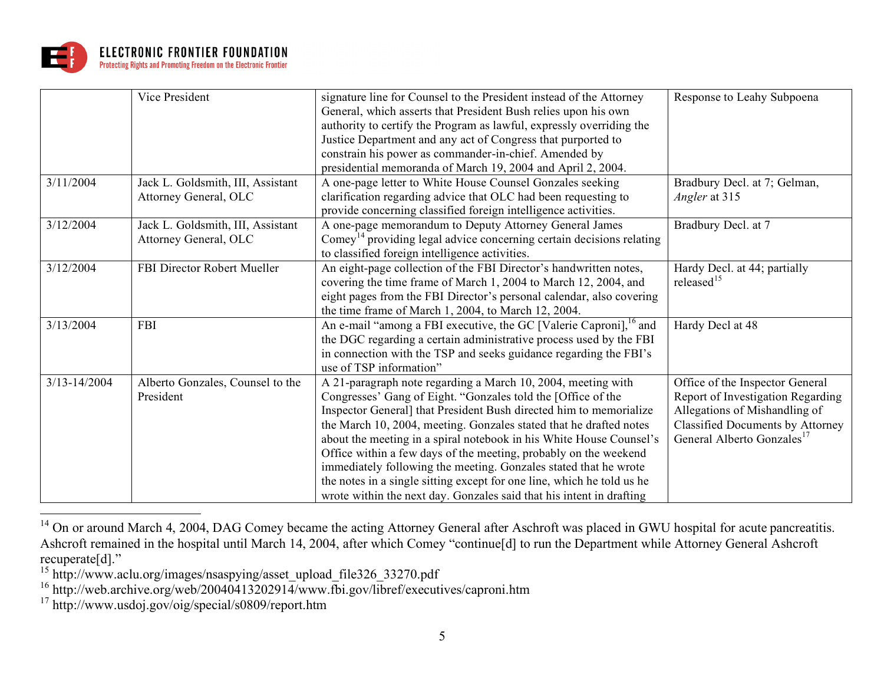

|                  | Vice President                     | signature line for Counsel to the President instead of the Attorney              | Response to Leahy Subpoena              |
|------------------|------------------------------------|----------------------------------------------------------------------------------|-----------------------------------------|
|                  |                                    | General, which asserts that President Bush relies upon his own                   |                                         |
|                  |                                    | authority to certify the Program as lawful, expressly overriding the             |                                         |
|                  |                                    | Justice Department and any act of Congress that purported to                     |                                         |
|                  |                                    | constrain his power as commander-in-chief. Amended by                            |                                         |
|                  |                                    | presidential memoranda of March 19, 2004 and April 2, 2004.                      |                                         |
| 3/11/2004        | Jack L. Goldsmith, III, Assistant  | A one-page letter to White House Counsel Gonzales seeking                        | Bradbury Decl. at 7; Gelman,            |
|                  | Attorney General, OLC              | clarification regarding advice that OLC had been requesting to                   | Angler at 315                           |
|                  |                                    | provide concerning classified foreign intelligence activities.                   |                                         |
| 3/12/2004        | Jack L. Goldsmith, III, Assistant  | A one-page memorandum to Deputy Attorney General James                           | Bradbury Decl. at 7                     |
|                  | Attorney General, OLC              | Comey <sup>14</sup> providing legal advice concerning certain decisions relating |                                         |
|                  |                                    | to classified foreign intelligence activities.                                   |                                         |
| 3/12/2004        | <b>FBI Director Robert Mueller</b> | An eight-page collection of the FBI Director's handwritten notes,                | Hardy Decl. at 44; partially            |
|                  |                                    | covering the time frame of March 1, 2004 to March 12, 2004, and                  | released $15$                           |
|                  |                                    | eight pages from the FBI Director's personal calendar, also covering             |                                         |
|                  |                                    | the time frame of March 1, 2004, to March 12, 2004.                              |                                         |
| 3/13/2004        | <b>FBI</b>                         | An e-mail "among a FBI executive, the GC [Valerie Caproni], <sup>16</sup> and    | Hardy Decl at 48                        |
|                  |                                    | the DGC regarding a certain administrative process used by the FBI               |                                         |
|                  |                                    | in connection with the TSP and seeks guidance regarding the FBI's                |                                         |
|                  |                                    | use of TSP information"                                                          |                                         |
| $3/13 - 14/2004$ | Alberto Gonzales, Counsel to the   | A 21-paragraph note regarding a March 10, 2004, meeting with                     | Office of the Inspector General         |
|                  | President                          | Congresses' Gang of Eight. "Gonzales told the [Office of the                     | Report of Investigation Regarding       |
|                  |                                    | Inspector General] that President Bush directed him to memorialize               | Allegations of Mishandling of           |
|                  |                                    | the March 10, 2004, meeting. Gonzales stated that he drafted notes               | <b>Classified Documents by Attorney</b> |
|                  |                                    | about the meeting in a spiral notebook in his White House Counsel's              | General Alberto Gonzales <sup>17</sup>  |
|                  |                                    | Office within a few days of the meeting, probably on the weekend                 |                                         |
|                  |                                    | immediately following the meeting. Gonzales stated that he wrote                 |                                         |
|                  |                                    | the notes in a single sitting except for one line, which he told us he           |                                         |
|                  |                                    | wrote within the next day. Gonzales said that his intent in drafting             |                                         |

<sup>&</sup>lt;sup>14</sup> On or around March 4, 2004, DAG Comey became the acting Attorney General after Aschroft was placed in GWU hospital for acute pancreatitis. Ashcroft remained in the hospital until March 14, 2004, after which Comey "continue[d] to run the Department while Attorney General Ashcroft recuperate[d]."

<sup>&</sup>lt;sup>15</sup> http://www.aclu.org/images/nsaspying/asset\_upload\_file326\_33270.pdf

<sup>&</sup>lt;sup>16</sup> http://web.archive.org/web/20040413202914/www.fbi.gov/libref/executives/caproni.htm

<sup>&</sup>lt;sup>17</sup> http://www.usdoj.gov/oig/special/s0809/report.htm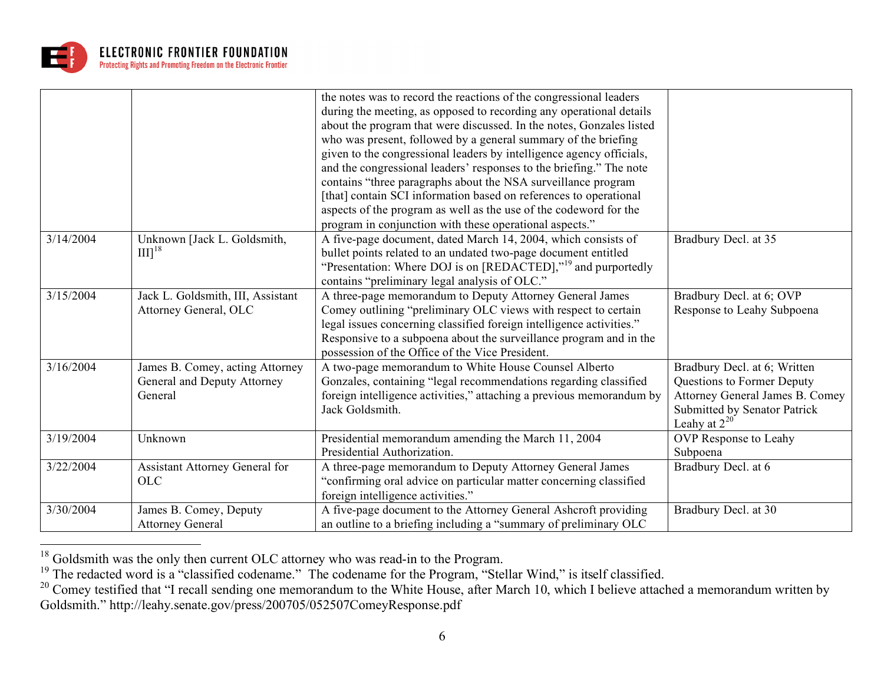

|           |                                                                           | the notes was to record the reactions of the congressional leaders<br>during the meeting, as opposed to recording any operational details<br>about the program that were discussed. In the notes, Gonzales listed<br>who was present, followed by a general summary of the briefing<br>given to the congressional leaders by intelligence agency officials,<br>and the congressional leaders' responses to the briefing." The note<br>contains "three paragraphs about the NSA surveillance program<br>[that] contain SCI information based on references to operational<br>aspects of the program as well as the use of the codeword for the<br>program in conjunction with these operational aspects." |                                                                                                                                                    |
|-----------|---------------------------------------------------------------------------|----------------------------------------------------------------------------------------------------------------------------------------------------------------------------------------------------------------------------------------------------------------------------------------------------------------------------------------------------------------------------------------------------------------------------------------------------------------------------------------------------------------------------------------------------------------------------------------------------------------------------------------------------------------------------------------------------------|----------------------------------------------------------------------------------------------------------------------------------------------------|
| 3/14/2004 | Unknown [Jack L. Goldsmith,<br>$III$ <sup>18</sup>                        | A five-page document, dated March 14, 2004, which consists of<br>bullet points related to an undated two-page document entitled<br>"Presentation: Where DOJ is on [REDACTED]," <sup>19</sup> and purportedly<br>contains "preliminary legal analysis of OLC."                                                                                                                                                                                                                                                                                                                                                                                                                                            | Bradbury Decl. at 35                                                                                                                               |
| 3/15/2004 | Jack L. Goldsmith, III, Assistant<br>Attorney General, OLC                | A three-page memorandum to Deputy Attorney General James<br>Comey outlining "preliminary OLC views with respect to certain<br>legal issues concerning classified foreign intelligence activities."<br>Responsive to a subpoena about the surveillance program and in the<br>possession of the Office of the Vice President.                                                                                                                                                                                                                                                                                                                                                                              | Bradbury Decl. at 6; OVP<br>Response to Leahy Subpoena                                                                                             |
| 3/16/2004 | James B. Comey, acting Attorney<br>General and Deputy Attorney<br>General | A two-page memorandum to White House Counsel Alberto<br>Gonzales, containing "legal recommendations regarding classified<br>foreign intelligence activities," attaching a previous memorandum by<br>Jack Goldsmith.                                                                                                                                                                                                                                                                                                                                                                                                                                                                                      | Bradbury Decl. at 6; Written<br>Questions to Former Deputy<br>Attorney General James B. Comey<br>Submitted by Senator Patrick<br>Leahy at $2^{20}$ |
| 3/19/2004 | Unknown                                                                   | Presidential memorandum amending the March 11, 2004<br>Presidential Authorization.                                                                                                                                                                                                                                                                                                                                                                                                                                                                                                                                                                                                                       | OVP Response to Leahy<br>Subpoena                                                                                                                  |
| 3/22/2004 | Assistant Attorney General for<br><b>OLC</b>                              | A three-page memorandum to Deputy Attorney General James<br>"confirming oral advice on particular matter concerning classified<br>foreign intelligence activities."                                                                                                                                                                                                                                                                                                                                                                                                                                                                                                                                      | Bradbury Decl. at 6                                                                                                                                |
| 3/30/2004 | James B. Comey, Deputy<br><b>Attorney General</b>                         | A five-page document to the Attorney General Ashcroft providing<br>an outline to a briefing including a "summary of preliminary OLC                                                                                                                                                                                                                                                                                                                                                                                                                                                                                                                                                                      | Bradbury Decl. at 30                                                                                                                               |

<sup>&</sup>lt;sup>18</sup> Goldsmith was the only then current OLC attorney who was read-in to the Program.

<sup>&</sup>lt;sup>19</sup> The redacted word is a "classified codename." The codename for the Program, "Stellar Wind," is itself classified.

<sup>&</sup>lt;sup>20</sup> Comey testified that "I recall sending one memorandum to the White House, after March 10, which I believe attached a memorandum written by Goldsmith." http://leahy.senate.gov/press/200705/052507ComeyResponse.pdf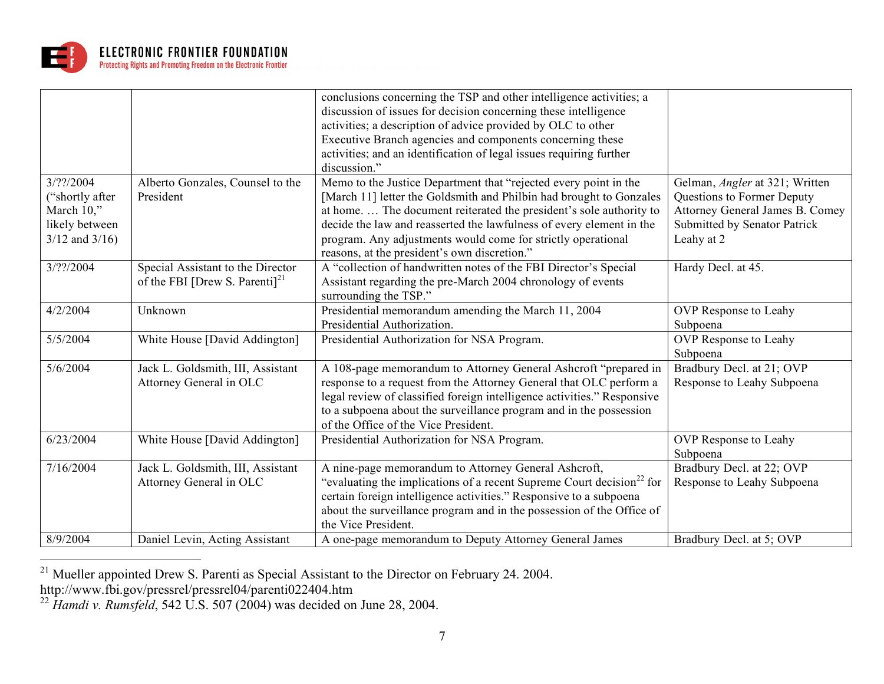

|                              |                                                                           | conclusions concerning the TSP and other intelligence activities; a<br>discussion of issues for decision concerning these intelligence<br>activities; a description of advice provided by OLC to other<br>Executive Branch agencies and components concerning these<br>activities; and an identification of legal issues requiring further |                                                                        |
|------------------------------|---------------------------------------------------------------------------|--------------------------------------------------------------------------------------------------------------------------------------------------------------------------------------------------------------------------------------------------------------------------------------------------------------------------------------------|------------------------------------------------------------------------|
|                              |                                                                           | discussion."                                                                                                                                                                                                                                                                                                                               |                                                                        |
| 3/22004                      | Alberto Gonzales, Counsel to the                                          | Memo to the Justice Department that "rejected every point in the                                                                                                                                                                                                                                                                           | Gelman, Angler at 321; Written                                         |
| ("shortly after")            | President                                                                 | [March 11] letter the Goldsmith and Philbin had brought to Gonzales                                                                                                                                                                                                                                                                        | Questions to Former Deputy                                             |
| March 10,"<br>likely between |                                                                           | at home.  The document reiterated the president's sole authority to<br>decide the law and reasserted the lawfulness of every element in the                                                                                                                                                                                                | Attorney General James B. Comey<br><b>Submitted by Senator Patrick</b> |
| $3/12$ and $3/16$ )          |                                                                           | program. Any adjustments would come for strictly operational                                                                                                                                                                                                                                                                               | Leahy at 2                                                             |
|                              |                                                                           | reasons, at the president's own discretion."                                                                                                                                                                                                                                                                                               |                                                                        |
| 3/??/2004                    | Special Assistant to the Director<br>of the FBI [Drew S. Parenti] $^{21}$ | A "collection of handwritten notes of the FBI Director's Special<br>Assistant regarding the pre-March 2004 chronology of events<br>surrounding the TSP."                                                                                                                                                                                   | Hardy Decl. at 45.                                                     |
| 4/2/2004                     | Unknown                                                                   | Presidential memorandum amending the March 11, 2004<br>Presidential Authorization.                                                                                                                                                                                                                                                         | OVP Response to Leahy<br>Subpoena                                      |
| 5/5/2004                     | White House [David Addington]                                             | Presidential Authorization for NSA Program.                                                                                                                                                                                                                                                                                                | OVP Response to Leahy<br>Subpoena                                      |
| 5/6/2004                     | Jack L. Goldsmith, III, Assistant<br>Attorney General in OLC              | A 108-page memorandum to Attorney General Ashcroft "prepared in<br>response to a request from the Attorney General that OLC perform a<br>legal review of classified foreign intelligence activities." Responsive<br>to a subpoena about the surveillance program and in the possession<br>of the Office of the Vice President.             | Bradbury Decl. at 21; OVP<br>Response to Leahy Subpoena                |
| 6/23/2004                    | White House [David Addington]                                             | Presidential Authorization for NSA Program.                                                                                                                                                                                                                                                                                                | OVP Response to Leahy<br>Subpoena                                      |
| 7/16/2004                    | Jack L. Goldsmith, III, Assistant<br>Attorney General in OLC              | A nine-page memorandum to Attorney General Ashcroft,<br>"evaluating the implications of a recent Supreme Court decision <sup>22</sup> for<br>certain foreign intelligence activities." Responsive to a subpoena<br>about the surveillance program and in the possession of the Office of<br>the Vice President.                            | Bradbury Decl. at 22; OVP<br>Response to Leahy Subpoena                |
| 8/9/2004                     | Daniel Levin, Acting Assistant                                            | A one-page memorandum to Deputy Attorney General James                                                                                                                                                                                                                                                                                     | Bradbury Decl. at 5; OVP                                               |

<sup>&</sup>lt;sup>21</sup> Mueller appointed Drew S. Parenti as Special Assistant to the Director on February 24. 2004. http://www.fbi.gov/pressrel/pressrel04/parenti022404.htm

 $^{22}$  *Hamdi v. Rumsfeld*, 542 U.S. 507 (2004) was decided on June 28, 2004.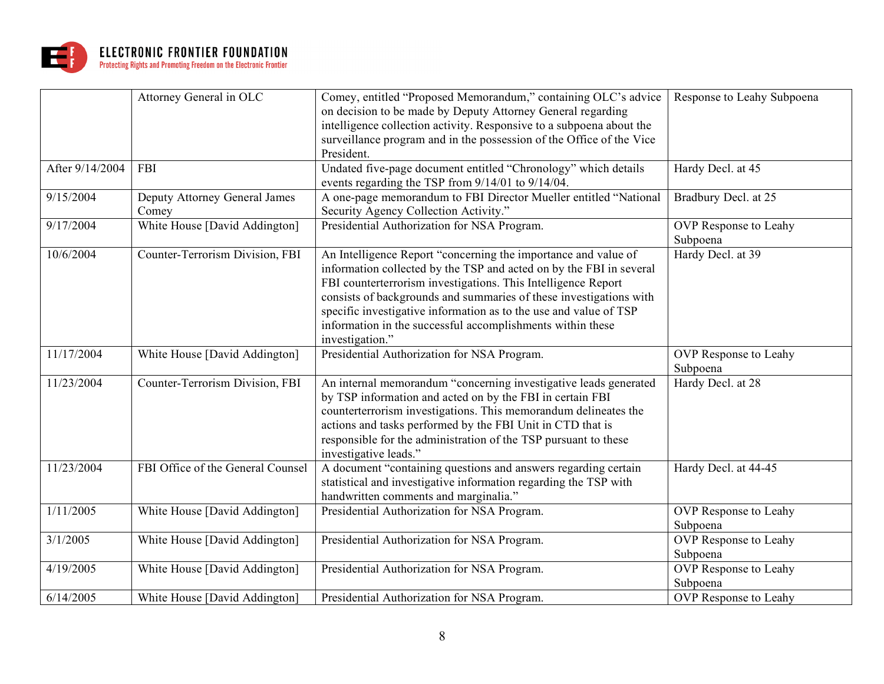

|                 | Attorney General in OLC                | Comey, entitled "Proposed Memorandum," containing OLC's advice<br>on decision to be made by Deputy Attorney General regarding<br>intelligence collection activity. Responsive to a subpoena about the<br>surveillance program and in the possession of the Office of the Vice<br>President.                                                                                                                                        | Response to Leahy Subpoena        |
|-----------------|----------------------------------------|------------------------------------------------------------------------------------------------------------------------------------------------------------------------------------------------------------------------------------------------------------------------------------------------------------------------------------------------------------------------------------------------------------------------------------|-----------------------------------|
| After 9/14/2004 | <b>FBI</b>                             | Undated five-page document entitled "Chronology" which details<br>events regarding the TSP from 9/14/01 to 9/14/04.                                                                                                                                                                                                                                                                                                                | Hardy Decl. at 45                 |
| 9/15/2004       | Deputy Attorney General James<br>Comey | A one-page memorandum to FBI Director Mueller entitled "National<br>Security Agency Collection Activity."                                                                                                                                                                                                                                                                                                                          | Bradbury Decl. at 25              |
| 9/17/2004       | White House [David Addington]          | Presidential Authorization for NSA Program.                                                                                                                                                                                                                                                                                                                                                                                        | OVP Response to Leahy<br>Subpoena |
| 10/6/2004       | Counter-Terrorism Division, FBI        | An Intelligence Report "concerning the importance and value of<br>information collected by the TSP and acted on by the FBI in several<br>FBI counterterrorism investigations. This Intelligence Report<br>consists of backgrounds and summaries of these investigations with<br>specific investigative information as to the use and value of TSP<br>information in the successful accomplishments within these<br>investigation." | Hardy Decl. at 39                 |
| 11/17/2004      | White House [David Addington]          | Presidential Authorization for NSA Program.                                                                                                                                                                                                                                                                                                                                                                                        | OVP Response to Leahy<br>Subpoena |
| 11/23/2004      | Counter-Terrorism Division, FBI        | An internal memorandum "concerning investigative leads generated<br>by TSP information and acted on by the FBI in certain FBI<br>counterterrorism investigations. This memorandum delineates the<br>actions and tasks performed by the FBI Unit in CTD that is<br>responsible for the administration of the TSP pursuant to these<br>investigative leads."                                                                         | Hardy Decl. at 28                 |
| 11/23/2004      | FBI Office of the General Counsel      | A document "containing questions and answers regarding certain<br>statistical and investigative information regarding the TSP with<br>handwritten comments and marginalia."                                                                                                                                                                                                                                                        | Hardy Decl. at 44-45              |
| 1/11/2005       | White House [David Addington]          | Presidential Authorization for NSA Program.                                                                                                                                                                                                                                                                                                                                                                                        | OVP Response to Leahy<br>Subpoena |
| 3/1/2005        | White House [David Addington]          | Presidential Authorization for NSA Program.                                                                                                                                                                                                                                                                                                                                                                                        | OVP Response to Leahy<br>Subpoena |
| 4/19/2005       | White House [David Addington]          | Presidential Authorization for NSA Program.                                                                                                                                                                                                                                                                                                                                                                                        | OVP Response to Leahy<br>Subpoena |
| 6/14/2005       | White House [David Addington]          | Presidential Authorization for NSA Program.                                                                                                                                                                                                                                                                                                                                                                                        | OVP Response to Leahy             |